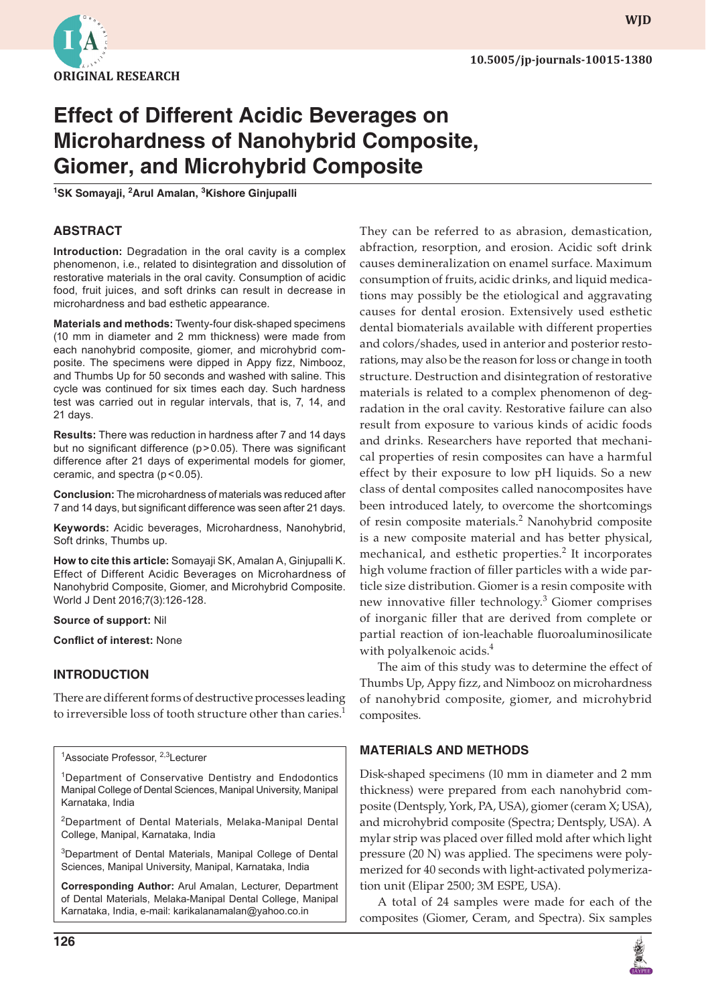

# **Effect of Different Acidic Beverages on Microhardness of Nanohybrid Composite, Giomer, and Microhybrid Composite**

**1 SK Somayaji, 2 Arul Amalan, 3 Kishore Ginjupalli**

# **ABSTRACT**

**Introduction:** Degradation in the oral cavity is a complex phenomenon, i.e., related to disintegration and dissolution of restorative materials in the oral cavity. Consumption of acidic food, fruit juices, and soft drinks can result in decrease in microhardness and bad esthetic appearance.

**Materials and methods:** Twenty-four disk-shaped specimens (10 mm in diameter and 2 mm thickness) were made from each nanohybrid composite, giomer, and microhybrid composite. The specimens were dipped in Appy fizz, Nimbooz, and Thumbs Up for 50 seconds and washed with saline. This cycle was continued for six times each day. Such hardness test was carried out in regular intervals, that is, 7, 14, and 21 days.

**Results:** There was reduction in hardness after 7 and 14 days but no significant difference (p>0.05). There was significant difference after 21 days of experimental models for giomer, ceramic, and spectra  $(p < 0.05)$ .

**Conclusion:** The microhardness of materials was reduced after 7 and 14 days, but significant difference was seen after 21 days.

**Keywords:** Acidic beverages, Microhardness, Nanohybrid, Soft drinks, Thumbs up.

**How to cite this article:** Somayaji SK, Amalan A, Ginjupalli K. Effect of Different Acidic Beverages on Microhardness of Nanohybrid Composite, Giomer, and Microhybrid Composite. World J Dent 2016;7(3):126-128.

#### **Source of support:** Nil

**Conflict of interest:** None

#### **INTRODUCTION**

There are different forms of destructive processes leading to irreversible loss of tooth structure other than caries.<sup>1</sup>

<sup>1</sup>Associate Professor, <sup>2,3</sup>Lecturer

<sup>1</sup>Department of Conservative Dentistry and Endodontics Manipal College of Dental Sciences, Manipal University, Manipal Karnataka, India

<sup>2</sup>Department of Dental Materials, Melaka-Manipal Dental College, Manipal, Karnataka, India

<sup>3</sup>Department of Dental Materials, Manipal College of Dental Sciences, Manipal University, Manipal, Karnataka, India

**Corresponding Author:** Arul Amalan, Lecturer, Department of Dental Materials, Melaka-Manipal Dental College, Manipal Karnataka, India, e-mail: karikalanamalan@yahoo.co.in

They can be referred to as abrasion, demastication, abfraction, resorption, and erosion. Acidic soft drink causes demineralization on enamel surface. Maximum consumption of fruits, acidic drinks, and liquid medications may possibly be the etiological and aggravating causes for dental erosion. Extensively used esthetic dental biomaterials available with different properties and colors/shades, used in anterior and posterior restorations, may also be the reason for loss or change in tooth structure. Destruction and disintegration of restorative materials is related to a complex phenomenon of degradation in the oral cavity. Restorative failure can also result from exposure to various kinds of acidic foods and drinks. Researchers have reported that mechanical properties of resin composites can have a harmful effect by their exposure to low pH liquids. So a new class of dental composites called nanocomposites have been introduced lately, to overcome the shortcomings of resin composite materials.<sup>2</sup> Nanohybrid composite is a new composite material and has better physical, mechanical, and esthetic properties.<sup>2</sup> It incorporates high volume fraction of filler particles with a wide particle size distribution. Giomer is a resin composite with new innovative filler technology.<sup>3</sup> Giomer comprises of inorganic filler that are derived from complete or partial reaction of ion-leachable fluoroaluminosilicate with polyalkenoic acids.<sup>4</sup>

The aim of this study was to determine the effect of Thumbs Up, Appy fizz, and Nimbooz on microhardness of nanohybrid composite, giomer, and microhybrid composites.

#### **MATERIALS AND METHODS**

Disk-shaped specimens (10 mm in diameter and 2 mm thickness) were prepared from each nanohybrid composite (Dentsply, York, PA, USA), giomer (ceram X; USA), and microhybrid composite (Spectra; Dentsply, USA). A mylar strip was placed over filled mold after which light pressure (20 N) was applied. The specimens were polymerized for 40 seconds with light-activated polymerization unit (Elipar 2500; 3M ESPE, USA).

A total of 24 samples were made for each of the composites (Giomer, Ceram, and Spectra). Six samples



**wjd**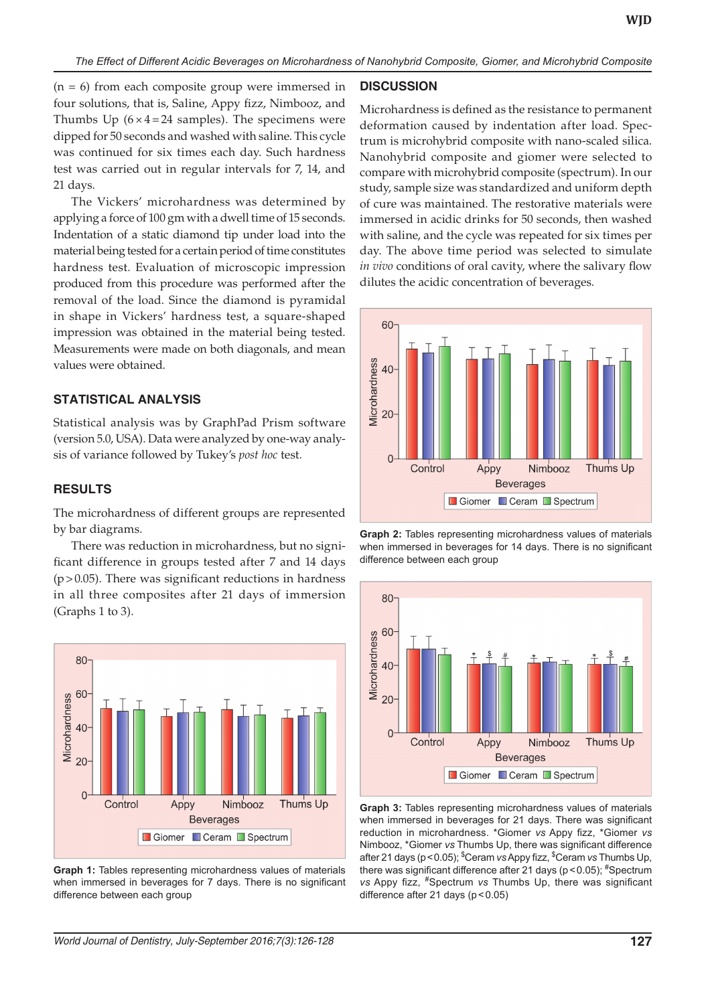(n = 6) from each composite group were immersed in four solutions, that is, Saline, Appy fizz, Nimbooz, and Thumbs Up  $(6 \times 4 = 24$  samples). The specimens were dipped for 50 seconds and washed with saline. This cycle was continued for six times each day. Such hardness test was carried out in regular intervals for 7, 14, and 21 days.

The Vickers' microhardness was determined by applying a force of 100 gm with a dwell time of 15 seconds. Indentation of a static diamond tip under load into the material being tested for a certain period of time constitutes hardness test. Evaluation of microscopic impression produced from this procedure was performed after the removal of the load. Since the diamond is pyramidal in shape in Vickers' hardness test, a square-shaped impression was obtained in the material being tested. Measurements were made on both diagonals, and mean values were obtained.

### **STATISTICAL ANALYSIS**

Statistical analysis was by GraphPad Prism software (version 5.0, USA). Data were analyzed by one-way analysis of variance followed by Tukey's *post hoc* test.

# **RESULTS**

The microhardness of different groups are represented by bar diagrams.

There was reduction in microhardness, but no significant difference in groups tested after 7 and 14 days (p>0.05). There was significant reductions in hardness in all three composites after 21 days of immersion (Graphs 1 to 3).



**Graph 1:** Tables representing microhardness values of materials when immersed in beverages for 7 days. There is no significant difference between each group

### **DISCUSSION**

Microhardness is defined as the resistance to permanent deformation caused by indentation after load. Spectrum is microhybrid composite with nano-scaled silica. Nanohybrid composite and giomer were selected to compare with microhybrid composite (spectrum). In our study, sample size was standardized and uniform depth of cure was maintained. The restorative materials were immersed in acidic drinks for 50 seconds, then washed with saline, and the cycle was repeated for six times per day. The above time period was selected to simulate *in vivo* conditions of oral cavity, where the salivary flow dilutes the acidic concentration of beverages.



**Graph 2:** Tables representing microhardness values of materials when immersed in beverages for 14 days. There is no significant difference between each group



**Graph 3:** Tables representing microhardness values of materials when immersed in beverages for 21 days. There was significant reduction in microhardness. \*Giomer *vs* Appy fizz, \*Giomer *vs* Nimbooz, \*Giomer *vs* Thumbs Up, there was significant difference after 21 days (p<0.05); \$ Ceram *vs* Appy fizz, \$ Ceram *vs* Thumbs Up, there was significant difference after 21 days (p < 0.05); #Spectrum *vs* Appy fizz, #Spectrum *vs* Thumbs Up, there was significant difference after 21 days (p<0.05)